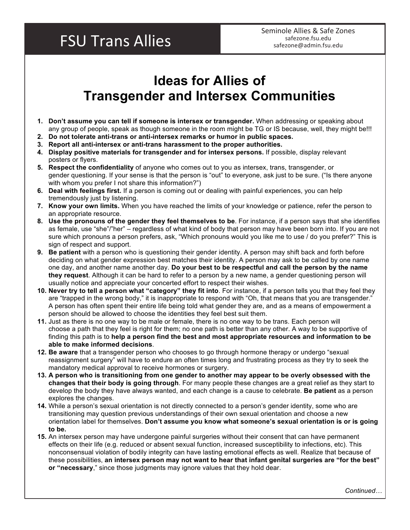## **FSU Trans Allies**

## **Ideas for Allies of Transgender and Intersex Communities**

- **1. Don't assume you can tell if someone is intersex or transgender.** When addressing or speaking about any group of people, speak as though someone in the room might be TG or IS because, well, they might be!!!
- **2. Do not tolerate anti-trans or anti-intersex remarks or humor in public spaces.**
- **3. Report all anti-intersex or anti-trans harassment to the proper authorities.**
- **4. Display positive materials for transgender and for intersex persons.** If possible, display relevant posters or flyers.
- **5. Respect the confidentiality** of anyone who comes out to you as intersex, trans, transgender, or gender questioning. If your sense is that the person is "out" to everyone, ask just to be sure. ("Is there anyone with whom you prefer I not share this information?")
- **6. Deal with feelings first.** If a person is coming out or dealing with painful experiences, you can help tremendously just by listening.
- **7. Know your own limits.** When you have reached the limits of your knowledge or patience, refer the person to an appropriate resource.
- **8. Use the pronouns of the gender they feel themselves to be**. For instance, if a person says that she identifies as female, use "she"/"her" – regardless of what kind of body that person may have been born into. If you are not sure which pronouns a person prefers, ask, "Which pronouns would you like me to use / do you prefer?" This is sign of respect and support.
- **9. Be patient** with a person who is questioning their gender identity. A person may shift back and forth before deciding on what gender expression best matches their identity. A person may ask to be called by one name one day, and another name another day. **Do your best to be respectful and call the person by the name they request**. Although it can be hard to refer to a person by a new name, a gender questioning person will usually notice and appreciate your concerted effort to respect their wishes.
- **10. Never try to tell a person what "category" they fit into**. For instance, if a person tells you that they feel they are "trapped in the wrong body," it is inappropriate to respond with "Oh, that means that you are transgender." A person has often spent their entire life being told what gender they are, and as a means of empowerment a person should be allowed to choose the identities they feel best suit them.
- **11.** Just as there is no one way to be male or female, there is no one way to be trans. Each person will choose a path that they feel is right for them; no one path is better than any other. A way to be supportive of finding this path is to **help a person find the best and most appropriate resources and information to be able to make informed decisions**.
- **12. Be aware** that a transgender person who chooses to go through hormone therapy or undergo "sexual reassignment surgery" will have to endure an often times long and frustrating process as they try to seek the mandatory medical approval to receive hormones or surgery.
- **13. A person who is transitioning from one gender to another may appear to be overly obsessed with the changes that their body is going through**. For many people these changes are a great relief as they start to develop the body they have always wanted, and each change is a cause to celebrate. **Be patient** as a person explores the changes.
- **14.** While a person's sexual orientation is not directly connected to a person's gender identity, some who are transitioning may question previous understandings of their own sexual orientation and choose a new orientation label for themselves. **Don't assume you know what someone's sexual orientation is or is going to be.**
- **15.** An intersex person may have undergone painful surgeries without their consent that can have permanent effects on their life (e.g. reduced or absent sexual function, increased susceptibility to infections, etc). This nonconsensual violation of bodily integrity can have lasting emotional effects as well. Realize that because of these possibilities, **an intersex person may not want to hear that infant genital surgeries are "for the best" or "necessary**," since those judgments may ignore values that they hold dear.